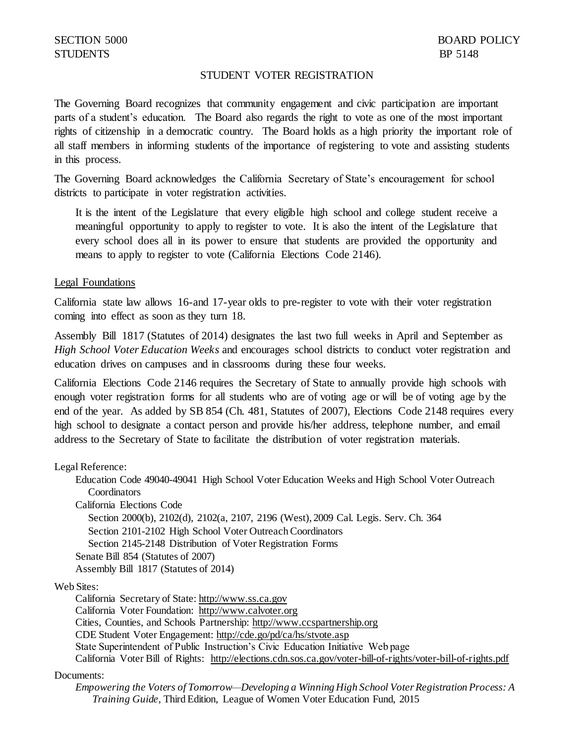## STUDENT VOTER REGISTRATION

The Governing Board recognizes that community engagement and civic participation are important parts of a student's education. The Board also regards the right to vote as one of the most important rights of citizenship in a democratic country. The Board holds as a high priority the important role of all staff members in informing students of the importance of registering to vote and assisting students in this process.

The Governing Board acknowledges the California Secretary of State's encouragement for school districts to participate in voter registration activities.

It is the intent of the Legislature that every eligible high school and college student receive a meaningful opportunity to apply to register to vote. It is also the intent of the Legislature that every school does all in its power to ensure that students are provided the opportunity and means to apply to register to vote (California Elections Code 2146).

## Legal Foundations

California state law allows 16-and 17-year olds to pre-register to vote with their voter registration coming into effect as soon as they turn 18.

Assembly Bill 1817 (Statutes of 2014) designates the last two full weeks in April and September as *High School Voter Education Weeks* and encourages school districts to conduct voter registration and education drives on campuses and in classrooms during these four weeks.

California Elections Code 2146 requires the Secretary of State to annually provide high schools with enough voter registration forms for all students who are of voting age or will be of voting age by the end of the year. As added by SB 854 (Ch. 481, Statutes of 2007), Elections Code 2148 requires every high school to designate a contact person and provide his/her address, telephone number, and email address to the Secretary of State to facilitate the distribution of voter registration materials.

Legal Reference:

Education Code 49040-49041 High School Voter Education Weeks and High School Voter Outreach **Coordinators** 

California Elections Code

Section 2000(b), 2102(d), 2102(a, 2107, 2196 (West), 2009 Cal. Legis. Serv. Ch. 364 Section 2101-2102 High School Voter Outreach Coordinators Section 2145-2148 Distribution of Voter Registration Forms Senate Bill 854 (Statutes of 2007) Assembly Bill 1817 (Statutes of 2014)

Web Sites:

California Secretary of State: [http://www.ss.ca.gov](http://www.ss.ca.gov/) California Voter Foundation: [http://www.calvoter.org](http://www.calvoter.org/) Cities, Counties, and Schools Partnership: [http://www.ccspartnership.org](http://www.ccspartnership.org/) CDE Student Voter Engagement:<http://cde.go/pd/ca/hs/stvote.asp> State Superintendent of Public Instruction's Civic Education Initiative Web page California Voter Bill of Rights: http://elections.cdn.sos.ca.gov/voter-bill-of-rights/voter-bill-of-rights.pdf

## Documents:

*Empowering the Voters of Tomorrow—Developing a Winning High School Voter Registration Process: A Training Guide,* Third Edition, League of Women Voter Education Fund, 2015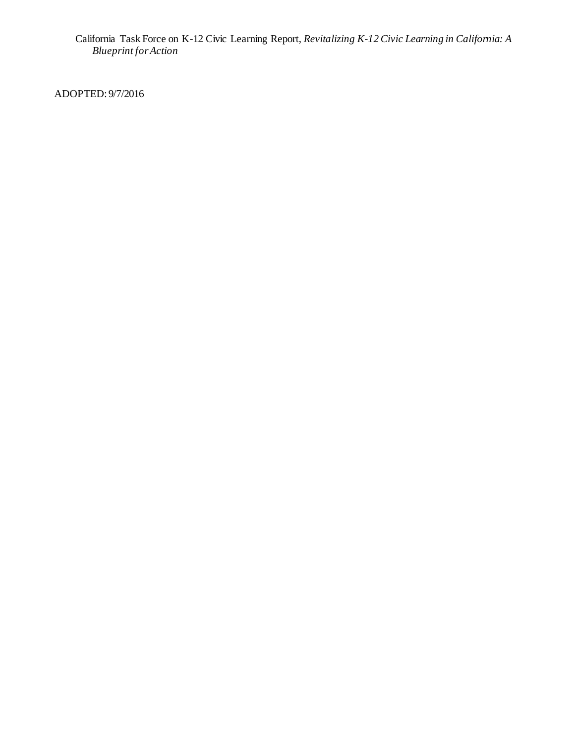California Task Force on K-12 Civic Learning Report, *Revitalizing K-12 Civic Learning in California: A Blueprint for Action*

ADOPTED: 9/7/2016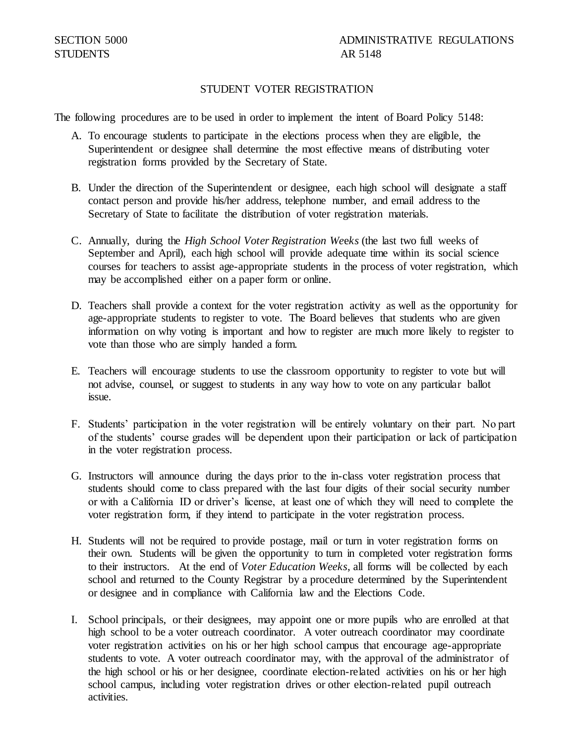## STUDENT VOTER REGISTRATION

The following procedures are to be used in order to implement the intent of Board Policy 5148:

- A. To encourage students to participate in the elections process when they are eligible, the Superintendent or designee shall determine the most effective means of distributing voter registration forms provided by the Secretary of State.
- B. Under the direction of the Superintendent or designee, each high school will designate a staff contact person and provide his/her address, telephone number, and email address to the Secretary of State to facilitate the distribution of voter registration materials.
- C. Annually, during the *High School Voter Registration We*e*ks* (the last two full weeks of September and April), each high school will provide adequate time within its social science courses for teachers to assist age-appropriate students in the process of voter registration, which may be accomplished either on a paper form or online.
- D. Teachers shall provide a context for the voter registration activity as well as the opportunity for age-appropriate students to register to vote. The Board believes that students who are given information on why voting is important and how to register are much more likely to register to vote than those who are simply handed a form.
- E. Teachers will encourage students to use the classroom opportunity to register to vote but will not advise, counsel, or suggest to students in any way how to vote on any particular ballot issue.
- F. Students' participation in the voter registration will be entirely voluntary on their part. No part of the students' course grades will be dependent upon their participation or lack of participation in the voter registration process.
- G. Instructors will announce during the days prior to the in-class voter registration process that students should come to class prepared with the last four digits of their social security number or with a California ID or driver's license, at least one of which they will need to complete the voter registration form, if they intend to participate in the voter registration process.
- H. Students will not be required to provide postage, mail or turn in voter registration forms on their own. Students will be given the opportunity to turn in completed voter registration forms to their instructors. At the end of *Voter Education Weeks*, all forms will be collected by each school and returned to the County Registrar by a procedure determined by the Superintendent or designee and in compliance with California law and the Elections Code.
- I. School principals, or their designees, may appoint one or more pupils who are enrolled at that high school to be a voter outreach coordinator. A voter outreach coordinator may coordinate voter registration activities on his or her high school campus that encourage age-appropriate students to vote. A voter outreach coordinator may, with the approval of the administrator of the high school or his or her designee, coordinate election-related activities on his or her high school campus, including voter registration drives or other election-related pupil outreach activities.